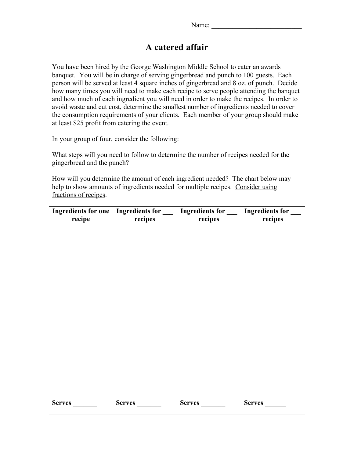## **A catered affair**

You have been hired by the George Washington Middle School to cater an awards banquet. You will be in charge of serving gingerbread and punch to 100 guests. Each person will be served at least 4 square inches of gingerbread and 8 oz. of punch. Decide how many times you will need to make each recipe to serve people attending the banquet and how much of each ingredient you will need in order to make the recipes. In order to avoid waste and cut cost, determine the smallest number of ingredients needed to cover the consumption requirements of your clients. Each member of your group should make at least \$25 profit from catering the event.

In your group of four, consider the following:

What steps will you need to follow to determine the number of recipes needed for the gingerbread and the punch?

How will you determine the amount of each ingredient needed? The chart below may help to show amounts of ingredients needed for multiple recipes. Consider using fractions of recipes.

|               |               | Ingredients for one   Ingredients for $\Box$   Ingredients for $\Box$   Ingredients for $\Box$ |               |
|---------------|---------------|------------------------------------------------------------------------------------------------|---------------|
| recipe        | recipes       | recipes                                                                                        | recipes       |
|               |               |                                                                                                |               |
|               |               |                                                                                                |               |
|               |               |                                                                                                |               |
|               |               |                                                                                                |               |
|               |               |                                                                                                |               |
|               |               |                                                                                                |               |
|               |               |                                                                                                |               |
|               |               |                                                                                                |               |
|               |               |                                                                                                |               |
|               |               |                                                                                                |               |
|               |               |                                                                                                |               |
|               |               |                                                                                                |               |
|               |               |                                                                                                |               |
|               |               |                                                                                                |               |
|               |               |                                                                                                |               |
|               |               |                                                                                                |               |
|               |               |                                                                                                |               |
|               |               |                                                                                                |               |
|               |               |                                                                                                |               |
|               |               |                                                                                                |               |
|               |               |                                                                                                |               |
| <b>Serves</b> | <b>Serves</b> | <b>Serves</b>                                                                                  | <b>Serves</b> |
|               |               |                                                                                                |               |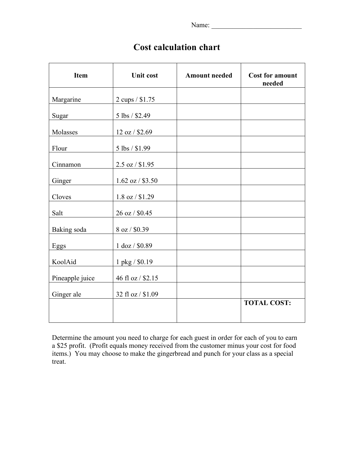Name: \_\_\_\_\_\_\_\_\_\_\_\_\_\_\_\_\_\_\_\_\_\_\_\_\_\_

## **Cost calculation chart**

| <b>Item</b>     | <b>Unit cost</b>    | <b>Amount needed</b> | <b>Cost for amount</b><br>needed |
|-----------------|---------------------|----------------------|----------------------------------|
| Margarine       | 2 cups / \$1.75     |                      |                                  |
| Sugar           | 5 lbs / \$2.49      |                      |                                  |
| Molasses        | 12 oz / \$2.69      |                      |                                  |
| Flour           | 5 lbs / \$1.99      |                      |                                  |
| Cinnamon        | $2.5$ oz / \$1.95   |                      |                                  |
| Ginger          | $1.62$ oz / \$3.50  |                      |                                  |
| Cloves          | $1.8$ oz $/$ \$1.29 |                      |                                  |
| Salt            | 26 oz / \$0.45      |                      |                                  |
| Baking soda     | 8 oz / \$0.39       |                      |                                  |
| Eggs            | 1 doz / \$0.89      |                      |                                  |
| KoolAid         | 1 pkg / \$0.19      |                      |                                  |
| Pineapple juice | 46 fl oz / \$2.15   |                      |                                  |
| Ginger ale      | 32 fl oz / \$1.09   |                      |                                  |
|                 |                     |                      | <b>TOTAL COST:</b>               |
|                 |                     |                      |                                  |

Determine the amount you need to charge for each guest in order for each of you to earn a \$25 profit. (Profit equals money received from the customer minus your cost for food items.) You may choose to make the gingerbread and punch for your class as a special treat.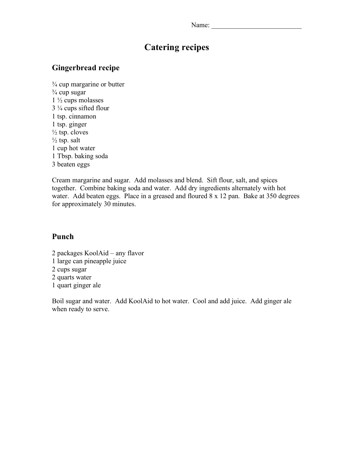| Name: |
|-------|
|-------|

## **Catering recipes**

### **Gingerbread recipe**

 $\frac{3}{4}$  cup margarine or butter  $\frac{3}{4}$  cup sugar 1 ½ cups molasses 3 ¼ cups sifted flour 1 tsp. cinnamon 1 tsp. ginger  $\frac{1}{2}$  tsp. cloves  $\frac{1}{2}$  tsp. salt 1 cup hot water 1 Tbsp. baking soda 3 beaten eggs

Cream margarine and sugar. Add molasses and blend. Sift flour, salt, and spices together. Combine baking soda and water. Add dry ingredients alternately with hot water. Add beaten eggs. Place in a greased and floured 8 x 12 pan. Bake at 350 degrees for approximately 30 minutes.

#### **Punch**

2 packages KoolAid – any flavor 1 large can pineapple juice 2 cups sugar 2 quarts water 1 quart ginger ale

Boil sugar and water. Add KoolAid to hot water. Cool and add juice. Add ginger ale when ready to serve.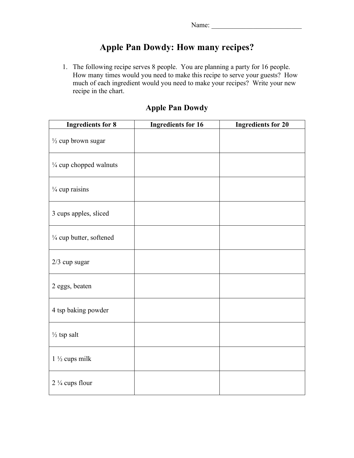# **Apple Pan Dowdy: How many recipes?**

1. The following recipe serves 8 people. You are planning a party for 16 people. How many times would you need to make this recipe to serve your guests? How much of each ingredient would you need to make your recipes? Write your new recipe in the chart.

| <b>Ingredients for 8</b>      | <b>Ingredients for 16</b> | <b>Ingredients for 20</b> |
|-------------------------------|---------------------------|---------------------------|
| $\frac{1}{2}$ cup brown sugar |                           |                           |
| 1/4 cup chopped walnuts       |                           |                           |
| $\frac{1}{4}$ cup raisins     |                           |                           |
| 3 cups apples, sliced         |                           |                           |
| 1/4 cup butter, softened      |                           |                           |
| $2/3$ cup sugar               |                           |                           |
| 2 eggs, beaten                |                           |                           |
| 4 tsp baking powder           |                           |                           |
| $\frac{1}{2}$ tsp salt        |                           |                           |
| $1\frac{1}{2}$ cups milk      |                           |                           |
| $2\frac{1}{4}$ cups flour     |                           |                           |

## **Apple Pan Dowdy**